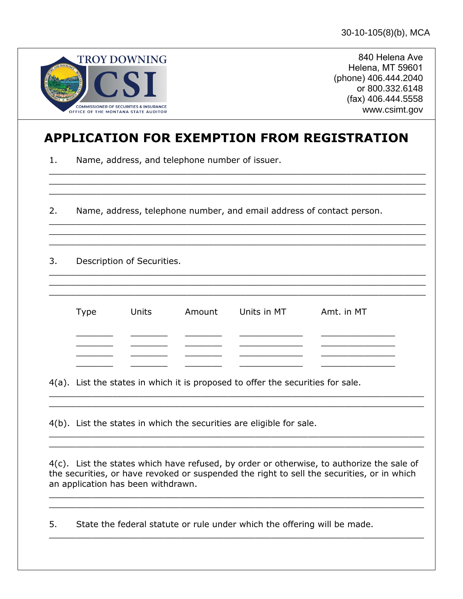| <b>TROY DOWNING</b>                                                                      |
|------------------------------------------------------------------------------------------|
| <b>JUL</b>                                                                               |
| <b>COMMISSIONER OF SECURITIES &amp; INSURANCE</b><br>OFFICE OF THE MONTANA STATE AUDITOR |

840 Helena Ave Helena, MT 59601 (phone) 406.444.2040 or 800.332.6148 (fax) 406.444.5558 www.csimt.gov

## **APPLICATION FOR EXEMPTION FROM REGISTRATION**

\_\_\_\_\_\_\_\_\_\_\_\_\_\_\_\_\_\_\_\_\_\_\_\_\_\_\_\_\_\_\_\_\_\_\_\_\_\_\_\_\_\_\_\_\_\_\_\_\_\_\_\_\_\_\_\_\_\_\_\_\_\_\_\_\_\_\_\_\_\_\_

\_\_\_\_\_\_\_\_\_\_\_\_\_\_\_\_\_\_\_\_\_\_\_\_\_\_\_\_\_\_\_\_\_\_\_\_\_\_\_\_\_\_\_\_\_\_\_\_\_\_\_\_\_\_\_\_\_\_\_\_\_\_\_\_\_\_\_\_\_\_\_

 $\_$  , and the contribution of the contribution of the contribution of the contribution of the contribution of  $\mathcal{L}_\mathcal{A}$ 

 $\_$  , and the contribution of the contribution of the contribution of the contribution of the contribution of  $\mathcal{L}_\mathcal{A}$ 

1. Name, address, and telephone number of issuer.

2. Name, address, telephone number, and email address of contact person.

3. Description of Securities.

| Type | Units | Amount Units in MT | Amt. in MT |
|------|-------|--------------------|------------|
|      |       |                    |            |
|      |       |                    |            |
|      |       |                    |            |

 $\_$  , and the contribution of the contribution of  $\mathcal{L}_1$  , and  $\mathcal{L}_2$  , and  $\mathcal{L}_3$  , and  $\mathcal{L}_4$  , and  $\mathcal{L}_5$  , and  $\mathcal{L}_6$  , and  $\mathcal{L}_7$  , and  $\mathcal{L}_8$  , and  $\mathcal{L}_7$  , and  $\mathcal{L}_8$  , and  $\mathcal{L}_9$  ,

4(a). List the states in which it is proposed to offer the securities for sale.

4(b). List the states in which the securities are eligible for sale.

4(c). List the states which have refused, by order or otherwise, to authorize the sale of the securities, or have revoked or suspended the right to sell the securities, or in which an application has been withdrawn.

 $\_$  , and the set of the set of the set of the set of the set of the set of the set of the set of the set of the set of the set of the set of the set of the set of the set of the set of the set of the set of the set of th  $\_$  , and the contribution of the contribution of  $\mathcal{L}_\mathcal{A}$  , and the contribution of  $\mathcal{L}_\mathcal{A}$  , and the contribution of  $\mathcal{L}_\mathcal{A}$ 

 $\_$  , and the contribution of the contribution of  $\mathcal{L}_\mathcal{A}$  , and the contribution of  $\mathcal{L}_\mathcal{A}$  , and the contribution of  $\mathcal{L}_\mathcal{A}$ 

 $\_$  , and the contribution of the contribution of  $\mathcal{L}_\mathcal{A}$  , and the contribution of  $\mathcal{L}_\mathcal{A}$  , and the contribution of  $\mathcal{L}_\mathcal{A}$ 

5. State the federal statute or rule under which the offering will be made.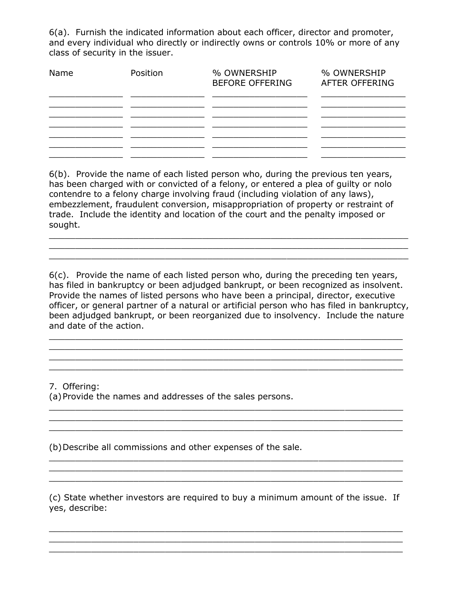6(a). Furnish the indicated information about each officer, director and promoter, and every individual who directly or indirectly owns or controls 10% or more of any class of security in the issuer.

| Name | Position | % OWNERSHIP<br><b>BEFORE OFFERING</b> | % OWNERSHIP<br>AFTER OFFERING |
|------|----------|---------------------------------------|-------------------------------|
|      |          |                                       |                               |
|      |          |                                       |                               |
|      |          |                                       |                               |

6(b). Provide the name of each listed person who, during the previous ten years, has been charged with or convicted of a felony, or entered a plea of guilty or nolo contendre to a felony charge involving fraud (including violation of any laws), embezzlement, fraudulent conversion, misappropriation of property or restraint of trade. Include the identity and location of the court and the penalty imposed or sought.

 $\_$  , and the contribution of the contribution of  $\mathcal{L}_1$  , and  $\mathcal{L}_2$  , and  $\mathcal{L}_3$  , and  $\mathcal{L}_4$  , and  $\mathcal{L}_5$  , and  $\mathcal{L}_6$  , and  $\mathcal{L}_7$  , and  $\mathcal{L}_8$  , and  $\mathcal{L}_7$  , and  $\mathcal{L}_8$  , and  $\mathcal{L}_9$  ,  $\_$  , and the contribution of the contribution of  $\mathcal{L}_1$  , and  $\mathcal{L}_2$  , and  $\mathcal{L}_3$  , and  $\mathcal{L}_4$  , and  $\mathcal{L}_5$  , and  $\mathcal{L}_6$  , and  $\mathcal{L}_7$  , and  $\mathcal{L}_8$  , and  $\mathcal{L}_7$  , and  $\mathcal{L}_8$  , and  $\mathcal{L}_7$  ,  $\mathcal{L}_\text{max} = \mathcal{L}_\text{max} = \mathcal{L}_\text{max} = \mathcal{L}_\text{max} = \mathcal{L}_\text{max} = \mathcal{L}_\text{max} = \mathcal{L}_\text{max} = \mathcal{L}_\text{max} = \mathcal{L}_\text{max} = \mathcal{L}_\text{max} = \mathcal{L}_\text{max} = \mathcal{L}_\text{max} = \mathcal{L}_\text{max} = \mathcal{L}_\text{max} = \mathcal{L}_\text{max} = \mathcal{L}_\text{max} = \mathcal{L}_\text{max} = \mathcal{L}_\text{max} = \mathcal{$ 

6(c). Provide the name of each listed person who, during the preceding ten years, has filed in bankruptcy or been adjudged bankrupt, or been recognized as insolvent. Provide the names of listed persons who have been a principal, director, executive officer, or general partner of a natural or artificial person who has filed in bankruptcy, been adjudged bankrupt, or been reorganized due to insolvency. Include the nature and date of the action.

 $\_$  , and the contribution of the contribution of  $\mathcal{L}_\mathcal{A}$  , and the contribution of  $\mathcal{L}_\mathcal{A}$  $\_$  , and the contribution of the contribution of  $\mathcal{L}_\mathcal{A}$  , and the contribution of  $\mathcal{L}_\mathcal{A}$  $\_$  ,  $\_$  ,  $\_$  ,  $\_$  ,  $\_$  ,  $\_$  ,  $\_$  ,  $\_$  ,  $\_$  ,  $\_$  ,  $\_$  ,  $\_$  ,  $\_$  ,  $\_$  ,  $\_$  ,  $\_$  ,  $\_$  ,  $\_$  ,  $\_$  ,  $\_$  ,  $\_$  ,  $\_$  ,  $\_$  ,  $\_$  ,  $\_$  ,  $\_$  ,  $\_$  ,  $\_$  ,  $\_$  ,  $\_$  ,  $\_$  ,  $\_$  ,  $\_$  ,  $\_$  ,  $\_$  ,  $\_$  ,  $\_$  ,  $\_$  , and the set of the set of the set of the set of the set of the set of the set of the set of the set of the set of the set of the set of the set of the set of the set of the set of the set of the set of the set of th

 $\_$  ,  $\_$  ,  $\_$  ,  $\_$  ,  $\_$  ,  $\_$  ,  $\_$  ,  $\_$  ,  $\_$  ,  $\_$  ,  $\_$  ,  $\_$  ,  $\_$  ,  $\_$  ,  $\_$  ,  $\_$  ,  $\_$  ,  $\_$  ,  $\_$  ,  $\_$  ,  $\_$  ,  $\_$  ,  $\_$  ,  $\_$  ,  $\_$  ,  $\_$  ,  $\_$  ,  $\_$  ,  $\_$  ,  $\_$  ,  $\_$  ,  $\_$  ,  $\_$  ,  $\_$  ,  $\_$  ,  $\_$  ,  $\_$  ,  $\mathcal{L}_\text{max} = \mathcal{L}_\text{max} = \mathcal{L}_\text{max} = \mathcal{L}_\text{max} = \mathcal{L}_\text{max} = \mathcal{L}_\text{max} = \mathcal{L}_\text{max} = \mathcal{L}_\text{max} = \mathcal{L}_\text{max} = \mathcal{L}_\text{max} = \mathcal{L}_\text{max} = \mathcal{L}_\text{max} = \mathcal{L}_\text{max} = \mathcal{L}_\text{max} = \mathcal{L}_\text{max} = \mathcal{L}_\text{max} = \mathcal{L}_\text{max} = \mathcal{L}_\text{max} = \mathcal{$ 

 $\overline{\phantom{a}}$  ,  $\overline{\phantom{a}}$  ,  $\overline{\phantom{a}}$  ,  $\overline{\phantom{a}}$  ,  $\overline{\phantom{a}}$  ,  $\overline{\phantom{a}}$  ,  $\overline{\phantom{a}}$  ,  $\overline{\phantom{a}}$  ,  $\overline{\phantom{a}}$  ,  $\overline{\phantom{a}}$  ,  $\overline{\phantom{a}}$  ,  $\overline{\phantom{a}}$  ,  $\overline{\phantom{a}}$  ,  $\overline{\phantom{a}}$  ,  $\overline{\phantom{a}}$  ,  $\overline{\phantom{a}}$ 

\_\_\_\_\_\_\_\_\_\_\_\_\_\_\_\_\_\_\_\_\_\_\_\_\_\_\_\_\_\_\_\_\_\_\_\_\_\_\_\_\_\_\_\_\_\_\_\_\_\_\_\_\_\_\_\_\_\_\_\_\_\_\_\_\_\_\_

7. Offering: (a)Provide the names and addresses of the sales persons.

(b)Describe all commissions and other expenses of the sale.

(c) State whether investors are required to buy a minimum amount of the issue. If yes, describe:

 $\_$  ,  $\_$  ,  $\_$  ,  $\_$  ,  $\_$  ,  $\_$  ,  $\_$  ,  $\_$  ,  $\_$  ,  $\_$  ,  $\_$  ,  $\_$  ,  $\_$  ,  $\_$  ,  $\_$  ,  $\_$  ,  $\_$  ,  $\_$  ,  $\_$  ,  $\_$  ,  $\_$  ,  $\_$  ,  $\_$  ,  $\_$  ,  $\_$  ,  $\_$  ,  $\_$  ,  $\_$  ,  $\_$  ,  $\_$  ,  $\_$  ,  $\_$  ,  $\_$  ,  $\_$  ,  $\_$  ,  $\_$  ,  $\_$  ,  $\_$  , and the contribution of the contribution of  $\mathcal{L}_\mathcal{A}$  , and the contribution of  $\mathcal{L}_\mathcal{A}$  $\_$  , and the set of the set of the set of the set of the set of the set of the set of the set of the set of the set of the set of the set of the set of the set of the set of the set of the set of the set of the set of th

 $\_$  ,  $\_$  ,  $\_$  ,  $\_$  ,  $\_$  ,  $\_$  ,  $\_$  ,  $\_$  ,  $\_$  ,  $\_$  ,  $\_$  ,  $\_$  ,  $\_$  ,  $\_$  ,  $\_$  ,  $\_$  ,  $\_$  ,  $\_$  ,  $\_$  ,  $\_$  ,  $\_$  ,  $\_$  ,  $\_$  ,  $\_$  ,  $\_$  ,  $\_$  ,  $\_$  ,  $\_$  ,  $\_$  ,  $\_$  ,  $\_$  ,  $\_$  ,  $\_$  ,  $\_$  ,  $\_$  ,  $\_$  ,  $\_$  ,  $\mathcal{L}_\mathcal{L} = \mathcal{L}_\mathcal{L} = \mathcal{L}_\mathcal{L} = \mathcal{L}_\mathcal{L} = \mathcal{L}_\mathcal{L} = \mathcal{L}_\mathcal{L} = \mathcal{L}_\mathcal{L} = \mathcal{L}_\mathcal{L} = \mathcal{L}_\mathcal{L} = \mathcal{L}_\mathcal{L} = \mathcal{L}_\mathcal{L} = \mathcal{L}_\mathcal{L} = \mathcal{L}_\mathcal{L} = \mathcal{L}_\mathcal{L} = \mathcal{L}_\mathcal{L} = \mathcal{L}_\mathcal{L} = \mathcal{L}_\mathcal{L}$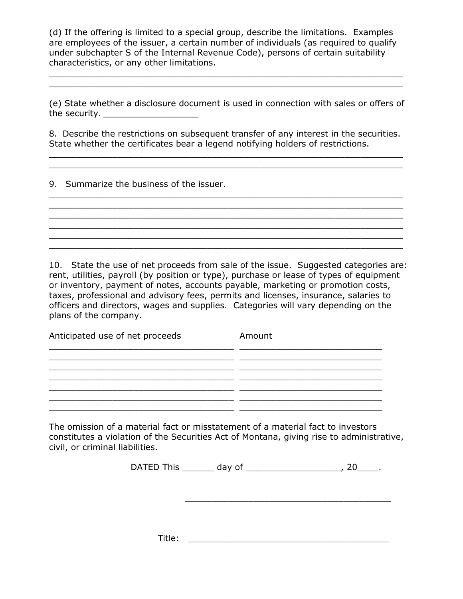(d) If the offering is limited to a special group, describe the limitations. Examples are employees of the issuer, a certain number of individuals (as required to qualify under subchapter S of the Internal Revenue Code), persons of certain suitability characteristics, or any other limitations.

 $\_$  , and the contribution of the contribution of  $\mathcal{L}_\mathcal{A}$  , and the contribution of  $\mathcal{L}_\mathcal{A}$ 

(e) State whether a disclosure document is used in connection with sales or offers of the security.  $\frac{1}{2}$  security.

8. Describe the restrictions on subsequent transfer of any interest in the securities. State whether the certificates bear a legend notifying holders of restrictions.

 $\_$  , and the contribution of the contribution of  $\mathcal{L}_\mathcal{A}$  , and the contribution of  $\mathcal{L}_\mathcal{A}$ 

 $\_$  ,  $\_$  ,  $\_$  ,  $\_$  ,  $\_$  ,  $\_$  ,  $\_$  ,  $\_$  ,  $\_$  ,  $\_$  ,  $\_$  ,  $\_$  ,  $\_$  ,  $\_$  ,  $\_$  ,  $\_$  ,  $\_$  ,  $\_$  ,  $\_$  ,  $\_$  ,  $\_$  ,  $\_$  ,  $\_$  ,  $\_$  ,  $\_$  ,  $\_$  ,  $\_$  ,  $\_$  ,  $\_$  ,  $\_$  ,  $\_$  ,  $\_$  ,  $\_$  ,  $\_$  ,  $\_$  ,  $\_$  ,  $\_$  ,  $\_$  ,  $\_$  ,  $\_$  ,  $\_$  ,  $\_$  ,  $\_$  ,  $\_$  ,  $\_$  ,  $\_$  ,  $\_$  ,  $\_$  ,  $\_$  ,  $\_$  ,  $\_$  ,  $\_$  ,  $\_$  ,  $\_$  ,  $\_$  ,  $\_$  ,  $\_$  ,  $\_$  ,  $\_$  ,  $\_$  ,  $\_$  ,  $\_$  ,  $\_$  ,  $\_$  ,  $\_$  ,  $\_$  ,  $\_$  ,  $\_$  ,  $\_$  ,  $\_$  ,  $\_$  ,  $\_$  ,  $\_$  ,  $\_$  ,

 $\_$  , and the contribution of the contribution of  $\mathcal{L}_\mathcal{A}$  , and the contribution of  $\mathcal{L}_\mathcal{A}$ 

 $\_$  ,  $\_$  ,  $\_$  ,  $\_$  ,  $\_$  ,  $\_$  ,  $\_$  ,  $\_$  ,  $\_$  ,  $\_$  ,  $\_$  ,  $\_$  ,  $\_$  ,  $\_$  ,  $\_$  ,  $\_$  ,  $\_$  ,  $\_$  ,  $\_$  ,  $\_$  ,  $\_$  ,  $\_$  ,  $\_$  ,  $\_$  ,  $\_$  ,  $\_$  ,  $\_$  ,  $\_$  ,  $\_$  ,  $\_$  ,  $\_$  ,  $\_$  ,  $\_$  ,  $\_$  ,  $\_$  ,  $\_$  ,  $\_$  ,

9. Summarize the business of the issuer.

10. State the use of net proceeds from sale of the issue. Suggested categories are: rent, utilities, payroll (by position or type), purchase or lease of types of equipment or inventory, payment of notes, accounts payable, marketing or promotion costs, taxes, professional and advisory fees, permits and licenses, insurance, salaries to officers and directors, wages and supplies. Categories will vary depending on the plans of the company.

Anticipated use of net proceeds Amount  $\frac{1}{2}$  ,  $\frac{1}{2}$  ,  $\frac{1}{2}$  ,  $\frac{1}{2}$  ,  $\frac{1}{2}$  ,  $\frac{1}{2}$  ,  $\frac{1}{2}$  ,  $\frac{1}{2}$  ,  $\frac{1}{2}$  ,  $\frac{1}{2}$  ,  $\frac{1}{2}$  ,  $\frac{1}{2}$  ,  $\frac{1}{2}$  ,  $\frac{1}{2}$  ,  $\frac{1}{2}$  ,  $\frac{1}{2}$  ,  $\frac{1}{2}$  ,  $\frac{1}{2}$  ,  $\frac{1$  $\overline{\phantom{a}}$  , and the set of the set of the set of the set of the set of the set of the set of the set of the set of the set of the set of the set of the set of the set of the set of the set of the set of the set of the s  $\_$  , and the set of the set of the set of the set of the set of the set of the set of the set of the set of the set of the set of the set of the set of the set of the set of the set of the set of the set of the set of th \_\_\_\_\_\_\_\_\_\_\_\_\_\_\_\_\_\_\_\_\_\_\_\_\_\_\_\_\_\_\_\_\_\_\_ \_\_\_\_\_\_\_\_\_\_\_\_\_\_\_\_\_\_\_\_\_\_\_\_\_\_\_  $\mathcal{L}_\text{max}$  , and the set of the set of the set of the set of the set of the set of the set of the set of the set of \_\_\_\_\_\_\_\_\_\_\_\_\_\_\_\_\_\_\_\_\_\_\_\_\_\_\_\_\_\_\_\_\_\_\_ \_\_\_\_\_\_\_\_\_\_\_\_\_\_\_\_\_\_\_\_\_\_\_\_\_\_\_

The omission of a material fact or misstatement of a material fact to investors constitutes a violation of the Securities Act of Montana, giving rise to administrative, civil, or criminal liabilities.

DATED This \_\_\_\_\_\_ day of \_\_\_\_\_\_\_\_\_\_\_\_\_\_\_\_\_\_, 20\_\_\_\_.

\_\_\_\_\_\_\_\_\_\_\_\_\_\_\_\_\_\_\_\_\_\_\_\_\_\_\_\_\_\_\_\_\_\_\_\_\_\_\_

 $\mathsf{Title}\colon\thinspace\mathsf{aligned}$